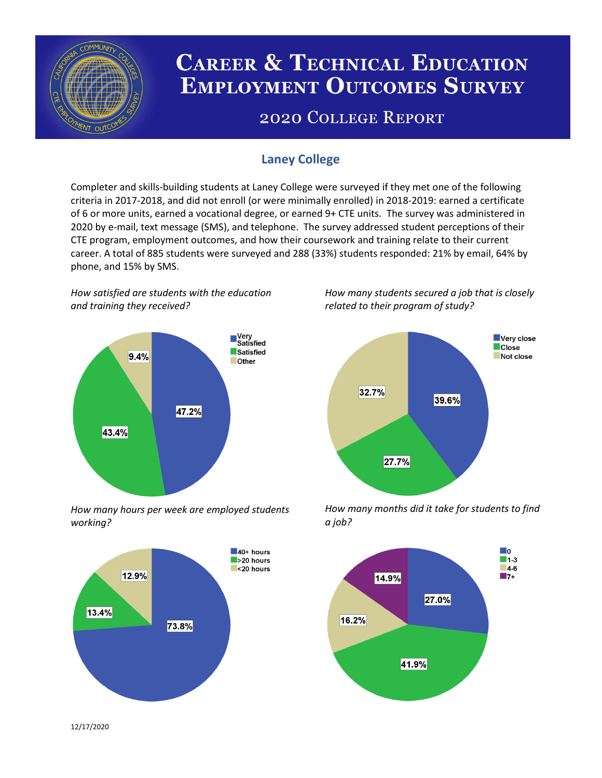

# **CAREER & TECHNICAL EDUCATION EMPLOYMENT OUTCOMES SURVEY**

## **2020 COLLEGE REPORT**

## **Laney College**

Completer and skills-building students at Laney College were surveyed if they met one of the following criteria in 2017-2018, and did not enroll (or were minimally enrolled) in 2018-2019: earned a certificate of 6 or more units, earned a vocational degree, or earned 9+ CTE units. The survey was administered in 2020 by e-mail, text message (SMS), and telephone. The survey addressed student perceptions of their CTE program, employment outcomes, and how their coursework and training relate to their current career. A total of 885 students were surveyed and 288 (33%) students responded: 21% by email, 64% by phone, and 15% by SMS.

*How satisfied are students with the education and training they received?*



*How many hours per week are employed students working?*



*How many students secured a job that is closely related to their program of study?*



*How many months did it take for students to find a job?*



12/17/2020